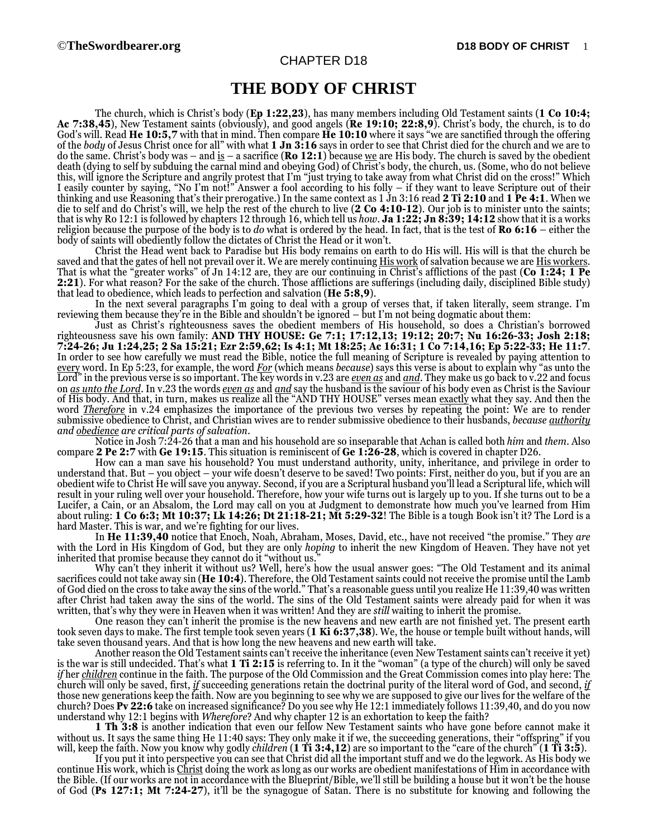## CHAPTER D18

## **THE BODY OF CHRIST**

The church, which is Christ's body (**Ep 1:22,23**), has many members including Old Testament saints (**1 Co 10:4; Ac 7:38,45**), New Testament saints (obviously), and good angels (**Re 19:10; 22:8,9**). Christ's body, the church, is to do God's will. Read **He 10:5,7** with that in mind. Then compare **He 10:10** where it says "we are sanctified through the offering of the *body* of Jesus Christ once for all" with what **1 Jn 3:16** says in order to see that Christ died for the church and we are to do the same. Christ's body was – and is – a sacrifice (**Ro 12:1**) because we are His body. The church is saved by the obedient death (dying to self by subduing the carnal mind and obeying God) of Christ's body, the church, us. (Some, who do not believe this, will ignore the Scripture and angrily protest that I'm "just trying to take away from what Christ did on the cross!" Which I easily counter by saying, "No I'm not!" Answer a fool according to his folly – if they want to leave Scripture out of their thinking and use Reasoning that's their prerogative.) In the same context as 1 Jn 3:16 read **2 Ti 2:10** and **1 Pe 4:1**. When we die to self and do Christ's will, we help the rest of the church to live (**2 Co 4:10-12**). Our job is to minister unto the saints; that is why Ro 12:1 is followed by chapters 12 through 16, which tell us *how*. **Ja 1:22; Jn 8:39; 14:12** show that it is a works religion because the purpose of the body is to *do* what is ordered by the head. In fact, that is the test of **Ro 6:16** – either the body of saints will obediently follow the dictates of Christ the Head or it won't.

Christ the Head went back to Paradise but His body remains on earth to do His will. His will is that the church be saved and that the gates of hell not prevail over it. We are merely continuing **His work** of salvation because we are His workers. That is what the "greater works" of Jn 14:12 are, they are our continuing in Christ's afflictions of the past (**Co 1:24; 1 Pe 2:21**). For what reason? For the sake of the church. Those afflictions are sufferings (including daily, disciplined Bible study) that lead to obedience, which leads to perfection and salvation (**He 5:8,9**).

In the next several paragraphs I'm going to deal with a group of verses that, if taken literally, seem strange. I'm reviewing them because they're in the Bible and shouldn't be ignored – but I'm not being dogmatic about them:

Just as Christ's righteousness saves the obedient members of His household, so does a Christian's borrowed righteousness save his own family: **AND THY HOUSE: Ge 7:1; 17:12,13; 19:12; 20:7; Nu 16:26-33; Josh 2:18; 7:24-26; Ju 1:24,25; 2 Sa 15:21; Ezr 2:59,62; Is 4:1; Mt 18:25; Ac 16:31; 1 Co 7:14,16; Ep 5:22-33; He 11:7**. In order to see how carefully we must read the Bible, notice the full meaning of Scripture is revealed by paying attention to every word. In Ep 5:23, for example, the word *For* (which means *because*) says this verse is about to explain why "as unto the Lord" in the previous verse is so important. The key words in v.23 are *even as* and *and*. They make us go back to v.22 and focus on *as unto the Lord*. In v.23 the words *even as* and *and* say the husband is the saviour of his body even as Christ is the Saviour of His body. And that, in turn, makes us realize all the "AND THY HOUSE" verses mean exactly what they say. And then the word *Therefore* in v.24 emphasizes the importance of the previous two verses by repeating the point: We are to render submissive obedience to Christ, and Christian wives are to render submissive obedience to their husbands, *because authority and obedience are critical parts of salvation*.

Notice in Josh 7:24-26 that a man and his household are so inseparable that Achan is called both *him* and *them*. Also compare **2 Pe 2:7** with **Ge 19:15**. This situation is reminiscent of **Ge 1:26-28**, which is covered in chapter D26.

How can a man save his household? You must understand authority, unity, inheritance, and privilege in order to understand that. But – you object – your wife doesn't deserve to be saved! Two points: First, neither do you, but if you are an obedient wife to Christ He will save you anyway. Second, if you are a Scriptural husband you'll lead a Scriptural life, which will result in your ruling well over your household. Therefore, how your wife turns out is largely up to you. If she turns out to be a Lucifer, a Cain, or an Absalom, the Lord may call on you at Judgment to demonstrate how much you've learned from Him about ruling: **1 Co 6:3; Mt 10:37; Lk 14:26; Dt 21:18-21; Mt 5:29-32**! The Bible is a tough Book isn't it? The Lord is a hard Master. This is war, and we're fighting for our lives.

In **He 11:39,40** notice that Enoch, Noah, Abraham, Moses, David, etc., have not received "the promise." They *are* with the Lord in His Kingdom of God, but they are only *hoping* to inherit the new Kingdom of Heaven. They have not yet inherited that promise because they cannot do it "without us."

Why can't they inherit it without us? Well, here's how the usual answer goes: "The Old Testament and its animal sacrifices could not take away sin (**He 10:4**). Therefore, the Old Testament saints could not receive the promise until the Lamb of God died on the cross to take away the sins of the world." That's a reasonable guess until you realize He 11:39,40 was written after Christ had taken away the sins of the world. The sins of the Old Testament saints were already paid for when it was written, that's why they were in Heaven when it was written! And they are *still* waiting to inherit the promise.

One reason they can't inherit the promise is the new heavens and new earth are not finished yet. The present earth took seven days to make. The first temple took seven years (**1 Ki 6:37,38**). We, the house or temple built without hands, will take seven thousand years. And that is how long the new heavens and new earth will take.

Another reason the Old Testament saints can't receive the inheritance (even New Testament saints can't receive it yet) is the war is still undecided. That's what **1 Ti 2:15** is referring to. In it the "woman" (a type of the church) will only be saved *if* her *children* continue in the faith. The purpose of the Old Commission and the Great Commission comes into play here: The church will only be saved, first, *if* succeeding generations retain the doctrinal purity of the literal word of God, and second, *if* those new generations keep the faith. Now are you beginning to see why we are supposed to give our lives for the welfare of the church? Does **Pv 22:6** take on increased significance? Do you see why He 12:1 immediately follows 11:39,40, and do you now understand why 12:1 begins with *Wherefore*? And why chapter 12 is an exhortation to keep the faith?

**1 Th 3:8** is another indication that even our fellow New Testament saints who have gone before cannot make it without us. It says the same thing He 11:40 says: They only make it if we, the succeeding generations, their "offspring" if you will, keep the faith. Now you know why godly *children* (**1 Ti 3:4,12**) are so important to the "care of the church" (**1 Ti 3:5**).

If you put it into perspective you can see that Christ did all the important stuff and we do the legwork. As His body we continue His work, which is Christ doing the work as long as our works are obedient manifestations of Him in accordance with the Bible. (If our works are not in accordance with the Blueprint/Bible, we'll still be building a house but it won't be the house of God (**Ps 127:1; Mt 7:24-27**), it'll be the synagogue of Satan. There is no substitute for knowing and following the